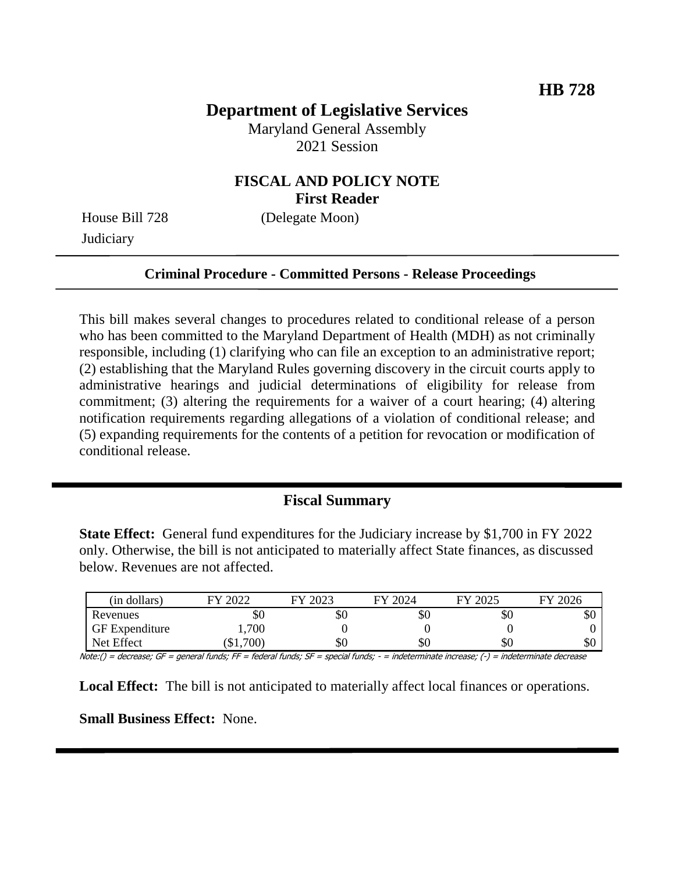# **Department of Legislative Services**

Maryland General Assembly 2021 Session

#### **FISCAL AND POLICY NOTE First Reader**

House Bill 728 (Delegate Moon) **Judiciary** 

#### **Criminal Procedure - Committed Persons - Release Proceedings**

This bill makes several changes to procedures related to conditional release of a person who has been committed to the Maryland Department of Health (MDH) as not criminally responsible, including (1) clarifying who can file an exception to an administrative report; (2) establishing that the Maryland Rules governing discovery in the circuit courts apply to administrative hearings and judicial determinations of eligibility for release from commitment; (3) altering the requirements for a waiver of a court hearing; (4) altering notification requirements regarding allegations of a violation of conditional release; and (5) expanding requirements for the contents of a petition for revocation or modification of conditional release.

#### **Fiscal Summary**

**State Effect:** General fund expenditures for the Judiciary increase by \$1,700 in FY 2022 only. Otherwise, the bill is not anticipated to materially affect State finances, as discussed below. Revenues are not affected.

| (in dollars)          | റററ<br>ГV | ാറാ<br>FV | 2024<br>FV | 2025<br>EV | FY 2026 |
|-----------------------|-----------|-----------|------------|------------|---------|
| Revenues              | ЭU        | \$0       | υU         | DЛ         | ФU      |
| <b>GF</b> Expenditure | ,700      |           |            |            |         |
| Net Effect            | $\$1,700$ | \$0       | υU         | УU         | эU      |

Note:() = decrease; GF = general funds; FF = federal funds; SF = special funds; - = indeterminate increase; (-) = indeterminate decrease

**Local Effect:** The bill is not anticipated to materially affect local finances or operations.

**Small Business Effect:** None.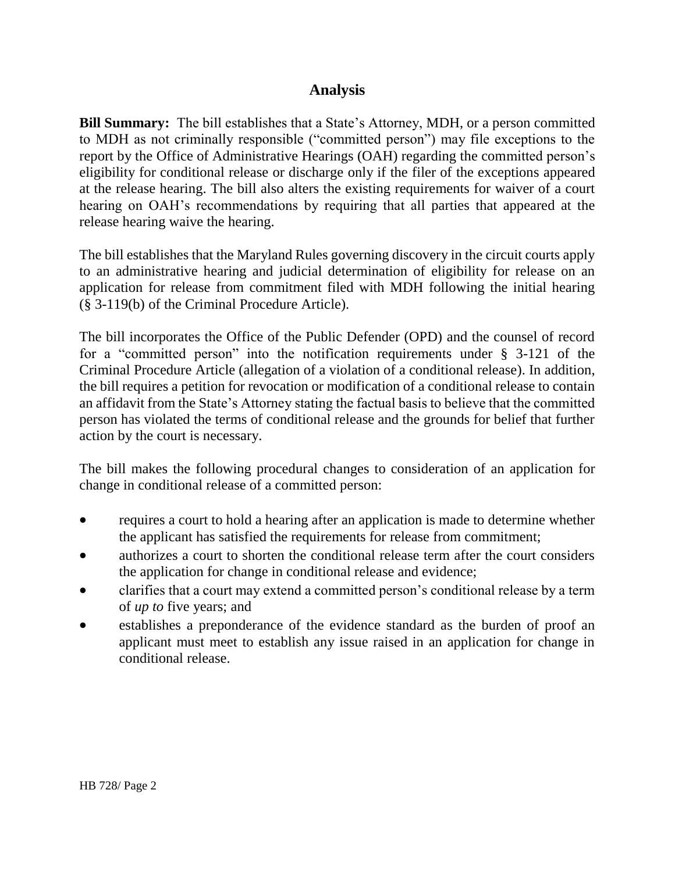## **Analysis**

**Bill Summary:** The bill establishes that a State's Attorney, MDH, or a person committed to MDH as not criminally responsible ("committed person") may file exceptions to the report by the Office of Administrative Hearings (OAH) regarding the committed person's eligibility for conditional release or discharge only if the filer of the exceptions appeared at the release hearing. The bill also alters the existing requirements for waiver of a court hearing on OAH's recommendations by requiring that all parties that appeared at the release hearing waive the hearing.

The bill establishes that the Maryland Rules governing discovery in the circuit courts apply to an administrative hearing and judicial determination of eligibility for release on an application for release from commitment filed with MDH following the initial hearing (§ 3-119(b) of the Criminal Procedure Article).

The bill incorporates the Office of the Public Defender (OPD) and the counsel of record for a "committed person" into the notification requirements under § 3-121 of the Criminal Procedure Article (allegation of a violation of a conditional release). In addition, the bill requires a petition for revocation or modification of a conditional release to contain an affidavit from the State's Attorney stating the factual basis to believe that the committed person has violated the terms of conditional release and the grounds for belief that further action by the court is necessary.

The bill makes the following procedural changes to consideration of an application for change in conditional release of a committed person:

- requires a court to hold a hearing after an application is made to determine whether the applicant has satisfied the requirements for release from commitment;
- authorizes a court to shorten the conditional release term after the court considers the application for change in conditional release and evidence;
- clarifies that a court may extend a committed person's conditional release by a term of *up to* five years; and
- establishes a preponderance of the evidence standard as the burden of proof an applicant must meet to establish any issue raised in an application for change in conditional release.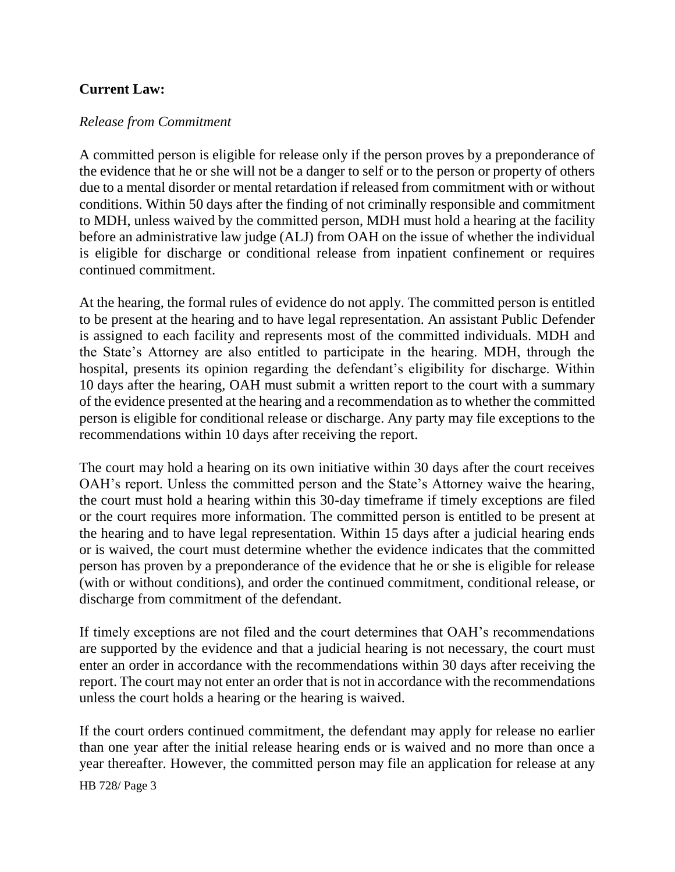#### **Current Law:**

#### *Release from Commitment*

A committed person is eligible for release only if the person proves by a preponderance of the evidence that he or she will not be a danger to self or to the person or property of others due to a mental disorder or mental retardation if released from commitment with or without conditions. Within 50 days after the finding of not criminally responsible and commitment to MDH, unless waived by the committed person, MDH must hold a hearing at the facility before an administrative law judge (ALJ) from OAH on the issue of whether the individual is eligible for discharge or conditional release from inpatient confinement or requires continued commitment.

At the hearing, the formal rules of evidence do not apply. The committed person is entitled to be present at the hearing and to have legal representation. An assistant Public Defender is assigned to each facility and represents most of the committed individuals. MDH and the State's Attorney are also entitled to participate in the hearing. MDH, through the hospital, presents its opinion regarding the defendant's eligibility for discharge. Within 10 days after the hearing, OAH must submit a written report to the court with a summary of the evidence presented at the hearing and a recommendation as to whether the committed person is eligible for conditional release or discharge. Any party may file exceptions to the recommendations within 10 days after receiving the report.

The court may hold a hearing on its own initiative within 30 days after the court receives OAH's report. Unless the committed person and the State's Attorney waive the hearing, the court must hold a hearing within this 30-day timeframe if timely exceptions are filed or the court requires more information. The committed person is entitled to be present at the hearing and to have legal representation. Within 15 days after a judicial hearing ends or is waived, the court must determine whether the evidence indicates that the committed person has proven by a preponderance of the evidence that he or she is eligible for release (with or without conditions), and order the continued commitment, conditional release, or discharge from commitment of the defendant.

If timely exceptions are not filed and the court determines that OAH's recommendations are supported by the evidence and that a judicial hearing is not necessary, the court must enter an order in accordance with the recommendations within 30 days after receiving the report. The court may not enter an order that is not in accordance with the recommendations unless the court holds a hearing or the hearing is waived.

If the court orders continued commitment, the defendant may apply for release no earlier than one year after the initial release hearing ends or is waived and no more than once a year thereafter. However, the committed person may file an application for release at any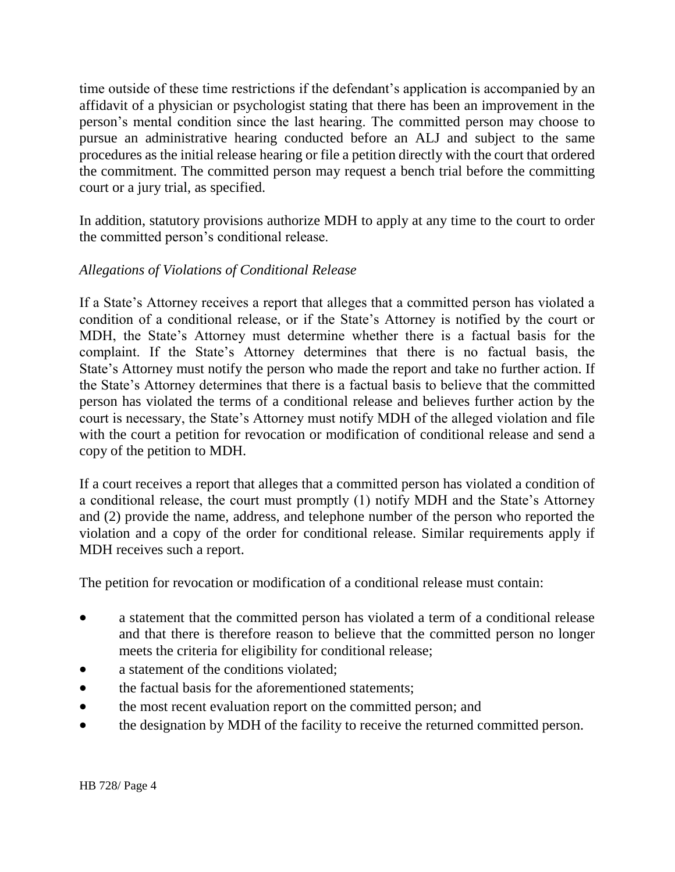time outside of these time restrictions if the defendant's application is accompanied by an affidavit of a physician or psychologist stating that there has been an improvement in the person's mental condition since the last hearing. The committed person may choose to pursue an administrative hearing conducted before an ALJ and subject to the same procedures as the initial release hearing or file a petition directly with the court that ordered the commitment. The committed person may request a bench trial before the committing court or a jury trial, as specified.

In addition, statutory provisions authorize MDH to apply at any time to the court to order the committed person's conditional release.

#### *Allegations of Violations of Conditional Release*

If a State's Attorney receives a report that alleges that a committed person has violated a condition of a conditional release, or if the State's Attorney is notified by the court or MDH, the State's Attorney must determine whether there is a factual basis for the complaint. If the State's Attorney determines that there is no factual basis, the State's Attorney must notify the person who made the report and take no further action. If the State's Attorney determines that there is a factual basis to believe that the committed person has violated the terms of a conditional release and believes further action by the court is necessary, the State's Attorney must notify MDH of the alleged violation and file with the court a petition for revocation or modification of conditional release and send a copy of the petition to MDH.

If a court receives a report that alleges that a committed person has violated a condition of a conditional release, the court must promptly (1) notify MDH and the State's Attorney and (2) provide the name, address, and telephone number of the person who reported the violation and a copy of the order for conditional release. Similar requirements apply if MDH receives such a report.

The petition for revocation or modification of a conditional release must contain:

- a statement that the committed person has violated a term of a conditional release and that there is therefore reason to believe that the committed person no longer meets the criteria for eligibility for conditional release;
- a statement of the conditions violated:
- the factual basis for the aforementioned statements;
- the most recent evaluation report on the committed person; and
- the designation by MDH of the facility to receive the returned committed person.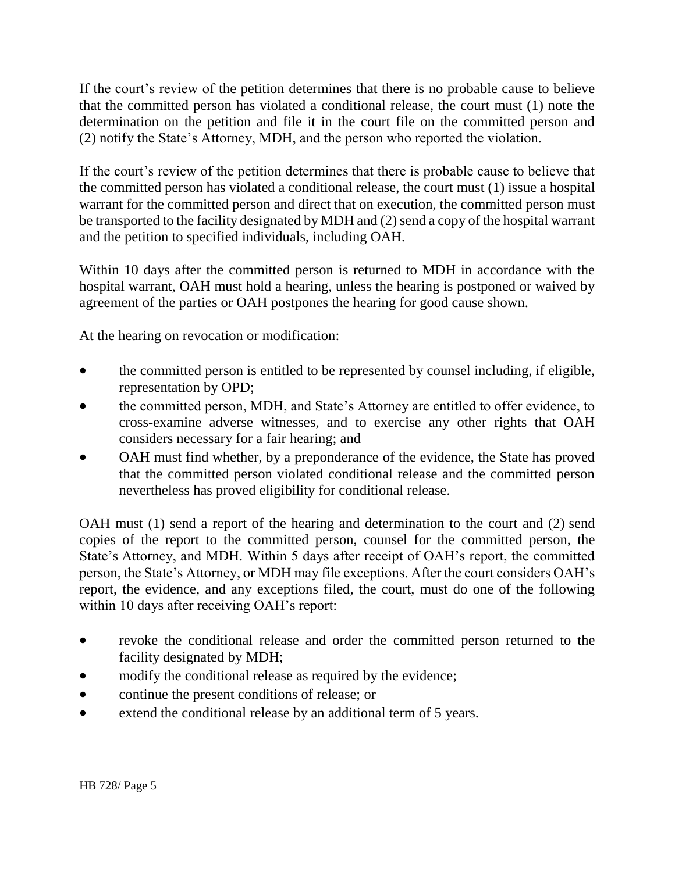If the court's review of the petition determines that there is no probable cause to believe that the committed person has violated a conditional release, the court must (1) note the determination on the petition and file it in the court file on the committed person and (2) notify the State's Attorney, MDH, and the person who reported the violation.

If the court's review of the petition determines that there is probable cause to believe that the committed person has violated a conditional release, the court must (1) issue a hospital warrant for the committed person and direct that on execution, the committed person must be transported to the facility designated by MDH and (2) send a copy of the hospital warrant and the petition to specified individuals, including OAH.

Within 10 days after the committed person is returned to MDH in accordance with the hospital warrant, OAH must hold a hearing, unless the hearing is postponed or waived by agreement of the parties or OAH postpones the hearing for good cause shown.

At the hearing on revocation or modification:

- the committed person is entitled to be represented by counsel including, if eligible, representation by OPD;
- the committed person, MDH, and State's Attorney are entitled to offer evidence, to cross-examine adverse witnesses, and to exercise any other rights that OAH considers necessary for a fair hearing; and
- OAH must find whether, by a preponderance of the evidence, the State has proved that the committed person violated conditional release and the committed person nevertheless has proved eligibility for conditional release.

OAH must (1) send a report of the hearing and determination to the court and (2) send copies of the report to the committed person, counsel for the committed person, the State's Attorney, and MDH. Within 5 days after receipt of OAH's report, the committed person, the State's Attorney, or MDH may file exceptions. After the court considers OAH's report, the evidence, and any exceptions filed, the court, must do one of the following within 10 days after receiving OAH's report:

- revoke the conditional release and order the committed person returned to the facility designated by MDH;
- modify the conditional release as required by the evidence;
- continue the present conditions of release; or
- extend the conditional release by an additional term of 5 years.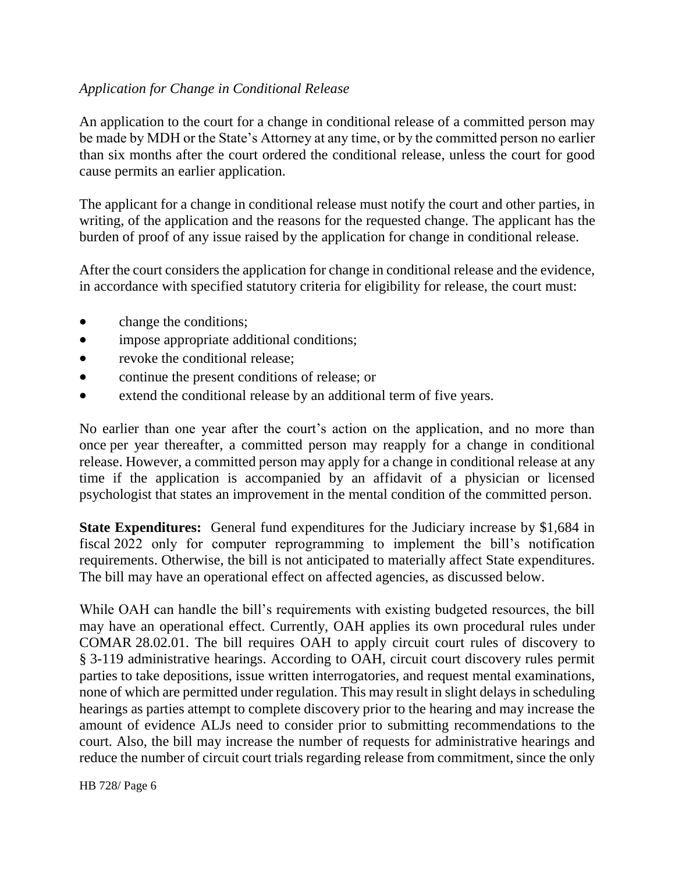#### *Application for Change in Conditional Release*

An application to the court for a change in conditional release of a committed person may be made by MDH or the State's Attorney at any time, or by the committed person no earlier than six months after the court ordered the conditional release, unless the court for good cause permits an earlier application.

The applicant for a change in conditional release must notify the court and other parties, in writing, of the application and the reasons for the requested change. The applicant has the burden of proof of any issue raised by the application for change in conditional release.

After the court considers the application for change in conditional release and the evidence, in accordance with specified statutory criteria for eligibility for release, the court must:

- change the conditions;
- impose appropriate additional conditions;
- revoke the conditional release;
- continue the present conditions of release; or
- extend the conditional release by an additional term of five years.

No earlier than one year after the court's action on the application, and no more than once per year thereafter, a committed person may reapply for a change in conditional release. However, a committed person may apply for a change in conditional release at any time if the application is accompanied by an affidavit of a physician or licensed psychologist that states an improvement in the mental condition of the committed person.

**State Expenditures:** General fund expenditures for the Judiciary increase by \$1,684 in fiscal 2022 only for computer reprogramming to implement the bill's notification requirements. Otherwise, the bill is not anticipated to materially affect State expenditures. The bill may have an operational effect on affected agencies, as discussed below.

While OAH can handle the bill's requirements with existing budgeted resources, the bill may have an operational effect. Currently, OAH applies its own procedural rules under COMAR 28.02.01. The bill requires OAH to apply circuit court rules of discovery to § 3-119 administrative hearings. According to OAH, circuit court discovery rules permit parties to take depositions, issue written interrogatories, and request mental examinations, none of which are permitted under regulation. This may result in slight delays in scheduling hearings as parties attempt to complete discovery prior to the hearing and may increase the amount of evidence ALJs need to consider prior to submitting recommendations to the court. Also, the bill may increase the number of requests for administrative hearings and reduce the number of circuit court trials regarding release from commitment, since the only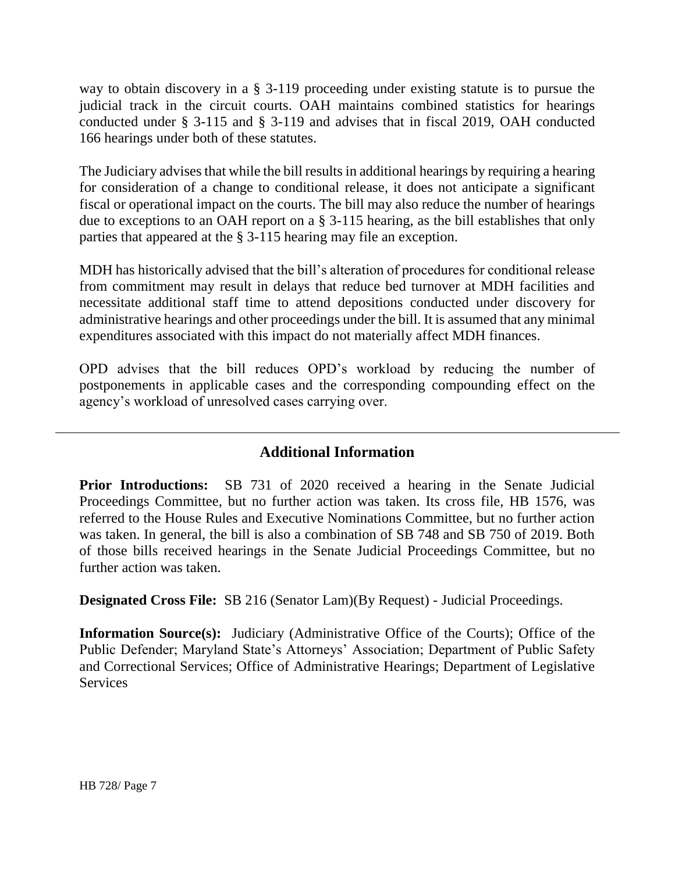way to obtain discovery in a § 3-119 proceeding under existing statute is to pursue the judicial track in the circuit courts. OAH maintains combined statistics for hearings conducted under § 3-115 and § 3-119 and advises that in fiscal 2019, OAH conducted 166 hearings under both of these statutes.

The Judiciary advises that while the bill results in additional hearings by requiring a hearing for consideration of a change to conditional release, it does not anticipate a significant fiscal or operational impact on the courts. The bill may also reduce the number of hearings due to exceptions to an OAH report on a § 3-115 hearing, as the bill establishes that only parties that appeared at the § 3-115 hearing may file an exception.

MDH has historically advised that the bill's alteration of procedures for conditional release from commitment may result in delays that reduce bed turnover at MDH facilities and necessitate additional staff time to attend depositions conducted under discovery for administrative hearings and other proceedings under the bill. It is assumed that any minimal expenditures associated with this impact do not materially affect MDH finances.

OPD advises that the bill reduces OPD's workload by reducing the number of postponements in applicable cases and the corresponding compounding effect on the agency's workload of unresolved cases carrying over.

## **Additional Information**

**Prior Introductions:** SB 731 of 2020 received a hearing in the Senate Judicial Proceedings Committee, but no further action was taken. Its cross file, HB 1576, was referred to the House Rules and Executive Nominations Committee, but no further action was taken. In general, the bill is also a combination of SB 748 and SB 750 of 2019. Both of those bills received hearings in the Senate Judicial Proceedings Committee, but no further action was taken.

**Designated Cross File:** SB 216 (Senator Lam)(By Request) - Judicial Proceedings.

**Information Source(s):** Judiciary (Administrative Office of the Courts); Office of the Public Defender; Maryland State's Attorneys' Association; Department of Public Safety and Correctional Services; Office of Administrative Hearings; Department of Legislative **Services**